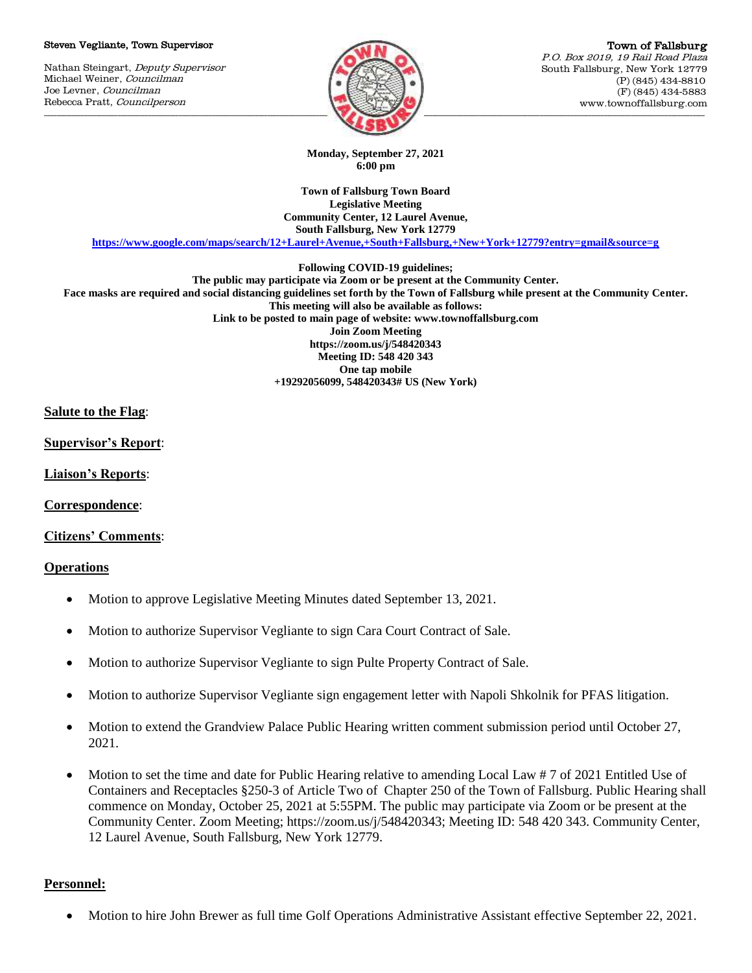#### Steven Vegliante, Town Supervisor

Nathan Steingart, Deputy Supervisor Michael Weiner, Councilman Joe Levner, Councilman Rebecca Pratt, Councilperson



Town of Fallsburg P.O. Box 2019, 19 Rail Road Plaza South Fallsburg, New York 12779 (P) (845) 434-8810 (F) (845) 434-5883 www.townoffallsburg.com

**Monday, September 27, 2021 6:00 pm**

**Town of Fallsburg Town Board Legislative Meeting Community Center, 12 Laurel Avenue, South Fallsburg, New York 12779**

**<https://www.google.com/maps/search/12+Laurel+Avenue,+South+Fallsburg,+New+York+12779?entry=gmail&source=g>**

**Following COVID-19 guidelines;**

**The public may participate via Zoom or be present at the Community Center. Face masks are required and social distancing guidelines set forth by the Town of Fallsburg while present at the Community Center. This meeting will also be available as follows: Link to be posted to main page of website: www.townoffallsburg.com Join Zoom Meeting https://zoom.us/j/548420343 Meeting ID: 548 420 343 One tap mobile +19292056099, 548420343# US (New York)**

# **Salute to the Flag**:

**Supervisor's Report**:

**Liaison's Reports**:

**Correspondence**:

**Citizens' Comments**:

### **Operations**

- Motion to approve Legislative Meeting Minutes dated September 13, 2021.
- Motion to authorize Supervisor Vegliante to sign Cara Court Contract of Sale.
- Motion to authorize Supervisor Vegliante to sign Pulte Property Contract of Sale.
- Motion to authorize Supervisor Vegliante sign engagement letter with Napoli Shkolnik for PFAS litigation.
- Motion to extend the Grandview Palace Public Hearing written comment submission period until October 27, 2021.
- Motion to set the time and date for Public Hearing relative to amending Local Law # 7 of 2021 Entitled Use of Containers and Receptacles §250-3 of Article Two of Chapter 250 of the Town of Fallsburg. Public Hearing shall commence on Monday, October 25, 2021 at 5:55PM. The public may participate via Zoom or be present at the Community Center. Zoom Meeting; https://zoom.us/j/548420343; Meeting ID: 548 420 343. Community Center, 12 Laurel Avenue, South Fallsburg, New York 12779.

# **Personnel:**

Motion to hire John Brewer as full time Golf Operations Administrative Assistant effective September 22, 2021.